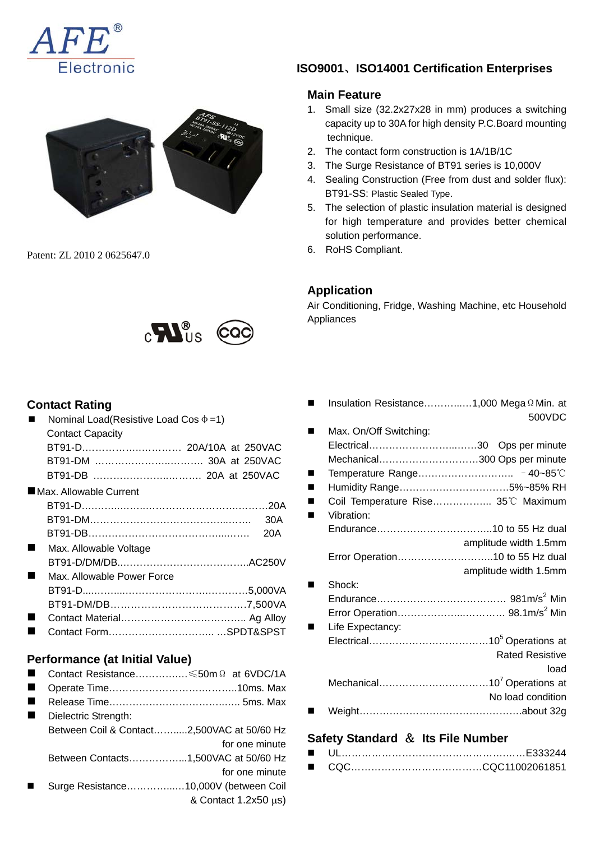



Patent: ZL 2010 2 0625647.0



## **Contact Rating**

|   | Nominal Load(Resistive Load Cos $\Phi = 1$ ) |                |
|---|----------------------------------------------|----------------|
|   | <b>Contact Capacity</b>                      |                |
|   | BT91-D 20A/10A at 250VAC                     |                |
|   | BT91-DM  30A at 250VAC                       |                |
|   | BT91-DB  20A at 250VAC                       |                |
|   | ■Max. Allowable Current                      |                |
|   |                                              |                |
|   |                                              | 30A            |
|   |                                              | 20A            |
|   | Max. Allowable Voltage                       |                |
|   |                                              |                |
|   | Max. Allowable Power Force                   |                |
|   |                                              |                |
|   |                                              |                |
| ٠ |                                              |                |
| ٠ |                                              |                |
|   |                                              |                |
|   | <b>Performance (at Initial Value)</b>        |                |
|   | Contact Resistance ≤50m Ω at 6VDC/1A         |                |
|   |                                              |                |
| ٠ |                                              |                |
|   | Dielectric Strength:                         |                |
|   | Between Coil & Contact2,500VAC at 50/60 Hz   |                |
|   |                                              | for one minute |

Between Contacts……………...1,500VAC at 50/60 Hz

- for one minute Surge Resistance…………...…10,000V (between Coil
	- & Contact 1.2x50 μs)

# **ISO9001**、**ISO14001 Certification Enterprises**

### **Main Feature**

- 1. Small size (32.2x27x28 in mm) produces a switching capacity up to 30A for high density P.C.Board mounting technique.
- 2. The contact form construction is 1A/1B/1C
- 3. The Surge Resistance of BT91 series is 10,000V
- 4. Sealing Construction (Free from dust and solder flux): BT91-SS: Plastic Sealed Type.
- 5. The selection of plastic insulation material is designed for high temperature and provides better chemical solution performance.
- 6. RoHS Compliant.

# **Application**

Air Conditioning, Fridge, Washing Machine, etc Household Appliances

| Insulation Resistance1,000 Mega Ω Min. at |                        |
|-------------------------------------------|------------------------|
|                                           | 500VDC                 |
| Max. On/Off Switching:                    |                        |
|                                           |                        |
| Mechanical300 Ops per minute              |                        |
|                                           |                        |
| Humidity Range5%~85% RH                   |                        |
| Coil Temperature Rise 35°C Maximum        |                        |
| Vibration:                                |                        |
|                                           |                        |
|                                           | amplitude width 1.5mm  |
| Error Operation10 to 55 Hz dual           |                        |
|                                           | amplitude width 1.5mm  |
| Shock:                                    |                        |
|                                           |                        |
|                                           |                        |
| Life Expectancy:                          |                        |
|                                           |                        |
|                                           | <b>Rated Resistive</b> |
|                                           | load                   |
|                                           |                        |
|                                           | No load condition      |
|                                           |                        |
|                                           |                        |

### **Safety Standard** & **Its File Number**